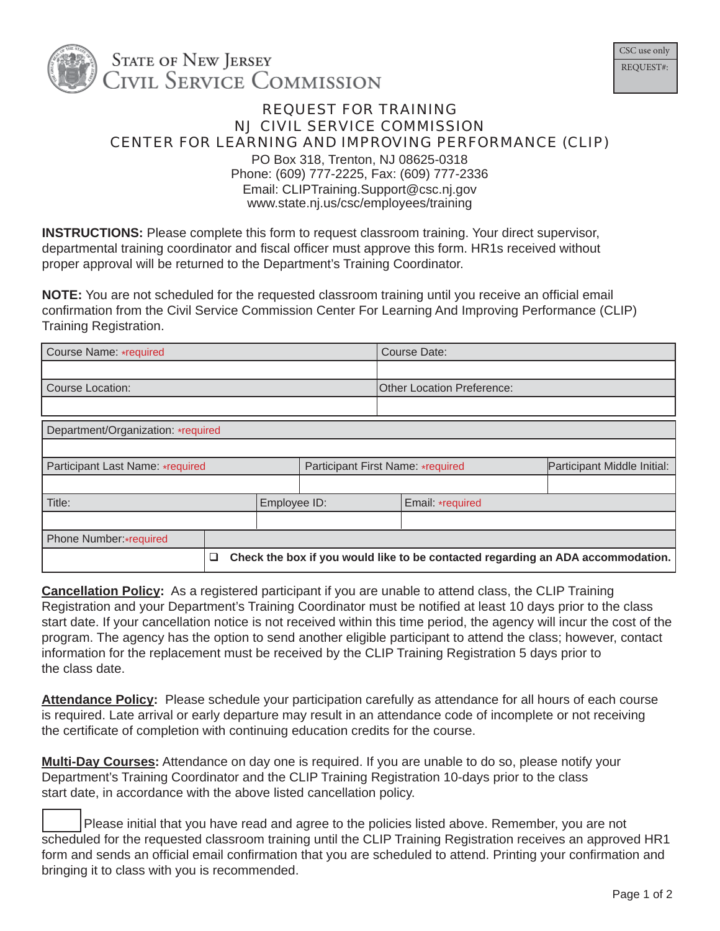

## REQUEST FOR TRAINING NJ CIVIL SERVICE COMMISSION CENTER FOR LEARNING AND IMPROVING PERFORMANCE (CLIP)

PO Box 318, Trenton, NJ 08625-0318 Phone: (609) 777-2225, Fax: (609) 777-2336 Email: CLIPTraining.Support@csc.nj.gov www.state.nj.us/csc/employees/training

**INSTRUCTIONS:** Please complete this form to request classroom training. Your direct supervisor, departmental training coordinator and fiscal officer must approve this form. HR1s received without proper approval will be returned to the Department's Training Coordinator.

**NOTE:** You are not scheduled for the requested classroom training until you receive an official email confirmation from the Civil Service Commission Center For Learning And Improving Performance (CLIP) Training Registration.

| Course Name: *required             |   |              |                                   |                                   | Course Date:                                                                    |                             |  |
|------------------------------------|---|--------------|-----------------------------------|-----------------------------------|---------------------------------------------------------------------------------|-----------------------------|--|
|                                    |   |              |                                   |                                   |                                                                                 |                             |  |
| <b>Course Location:</b>            |   |              |                                   | <b>Other Location Preference:</b> |                                                                                 |                             |  |
|                                    |   |              |                                   |                                   |                                                                                 |                             |  |
| Department/Organization: *required |   |              |                                   |                                   |                                                                                 |                             |  |
|                                    |   |              |                                   |                                   |                                                                                 |                             |  |
| Participant Last Name: *required   |   |              | Participant First Name: *required |                                   |                                                                                 | Participant Middle Initial: |  |
|                                    |   |              |                                   |                                   |                                                                                 |                             |  |
| Title:                             |   | Employee ID: |                                   | Email: *required                  |                                                                                 |                             |  |
|                                    |   |              |                                   |                                   |                                                                                 |                             |  |
| Phone Number:*required             |   |              |                                   |                                   |                                                                                 |                             |  |
|                                    | ❏ |              |                                   |                                   | Check the box if you would like to be contacted regarding an ADA accommodation. |                             |  |

**Cancellation Policy:** As a registered participant if you are unable to attend class, the CLIP Training Registration and your Department's Training Coordinator must be notified at least 10 days prior to the class start date. If your cancellation notice is not received within this time period, the agency will incur the cost of the program. The agency has the option to send another eligible participant to attend the class; however, contact information for the replacement must be received by the CLIP Training Registration 5 days prior to the class date.

**Attendance Policy:** Please schedule your participation carefully as attendance for all hours of each course is required. Late arrival or early departure may result in an attendance code of incomplete or not receiving the certificate of completion with continuing education credits for the course.

**Multi-Day Courses:** Attendance on day one is required. If you are unable to do so, please notify your Department's Training Coordinator and the CLIP Training Registration 10-days prior to the class start date, in accordance with the above listed cancellation policy.

 Please initial that you have read and agree to the policies listed above. Remember, you are not scheduled for the requested classroom training until the CLIP Training Registration receives an approved HR1 form and sends an official email confirmation that you are scheduled to attend. Printing your confirmation and bringing it to class with you is recommended.